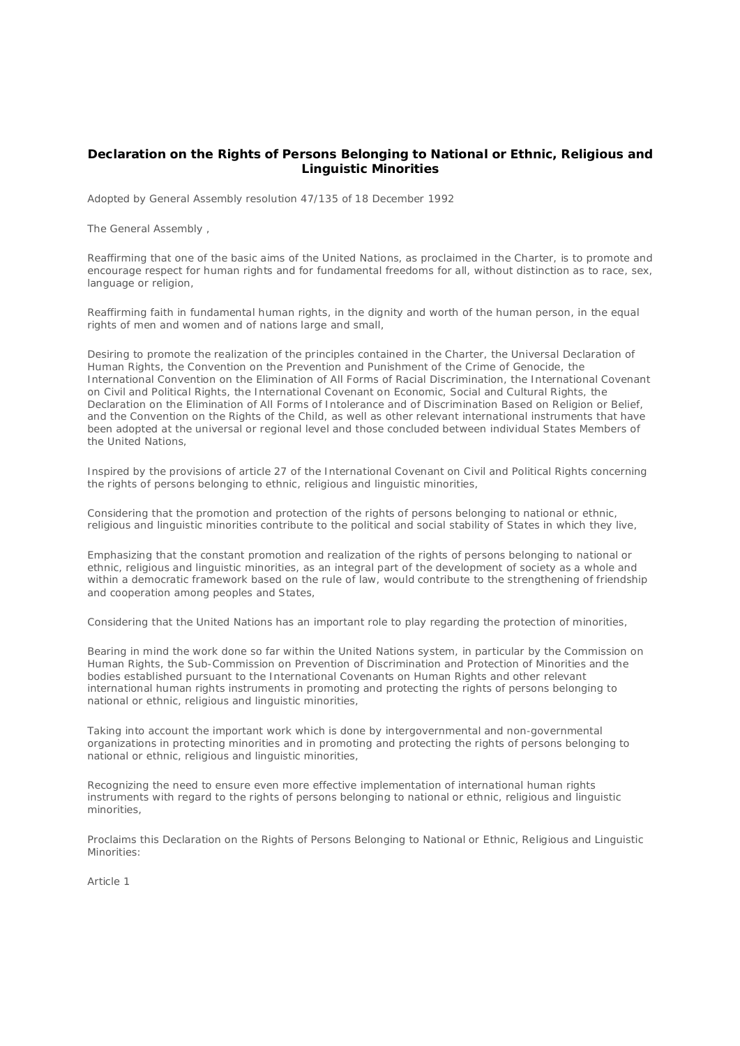# **Declaration on the Rights of Persons Belonging to National or Ethnic, Religious and Linguistic Minorities**

Adopted by General Assembly resolution 47/135 of 18 December 1992

The General Assembly ,

Reaffirming that one of the basic aims of the United Nations, as proclaimed in the Charter, is to promote and encourage respect for human rights and for fundamental freedoms for all, without distinction as to race, sex, language or religion,

Reaffirming faith in fundamental human rights, in the dignity and worth of the human person, in the equal rights of men and women and of nations large and small,

Desiring to promote the realization of the principles contained in the Charter, the Universal Declaration of Human Rights, the Convention on the Prevention and Punishment of the Crime of Genocide, the International Convention on the Elimination of All Forms of Racial Discrimination, the International Covenant on Civil and Political Rights, the International Covenant on Economic, Social and Cultural Rights, the Declaration on the Elimination of All Forms of Intolerance and of Discrimination Based on Religion or Belief, and the Convention on the Rights of the Child, as well as other relevant international instruments that have been adopted at the universal or regional level and those concluded between individual States Members of the United Nations,

Inspired by the provisions of article 27 of the International Covenant on Civil and Political Rights concerning the rights of persons belonging to ethnic, religious and linguistic minorities,

Considering that the promotion and protection of the rights of persons belonging to national or ethnic. religious and linguistic minorities contribute to the political and social stability of States in which they live,

Emphasizing that the constant promotion and realization of the rights of persons belonging to national or ethnic, religious and linguistic minorities, as an integral part of the development of society as a whole and within a democratic framework based on the rule of law, would contribute to the strengthening of friendship and cooperation among peoples and States,

Considering that the United Nations has an important role to play regarding the protection of minorities,

Bearing in mind the work done so far within the United Nations system, in particular by the Commission on Human Rights, the Sub-Commission on Prevention of Discrimination and Protection of Minorities and the bodies established pursuant to the International Covenants on Human Rights and other relevant international human rights instruments in promoting and protecting the rights of persons belonging to national or ethnic, religious and linguistic minorities,

Taking into account the important work which is done by intergovernmental and non-governmental organizations in protecting minorities and in promoting and protecting the rights of persons belonging to national or ethnic, religious and linguistic minorities,

Recognizing the need to ensure even more effective implementation of international human rights instruments with regard to the rights of persons belonging to national or ethnic, religious and linguistic minorities,

Proclaims this Declaration on the Rights of Persons Belonging to National or Ethnic, Religious and Linguistic Minorities:

Article 1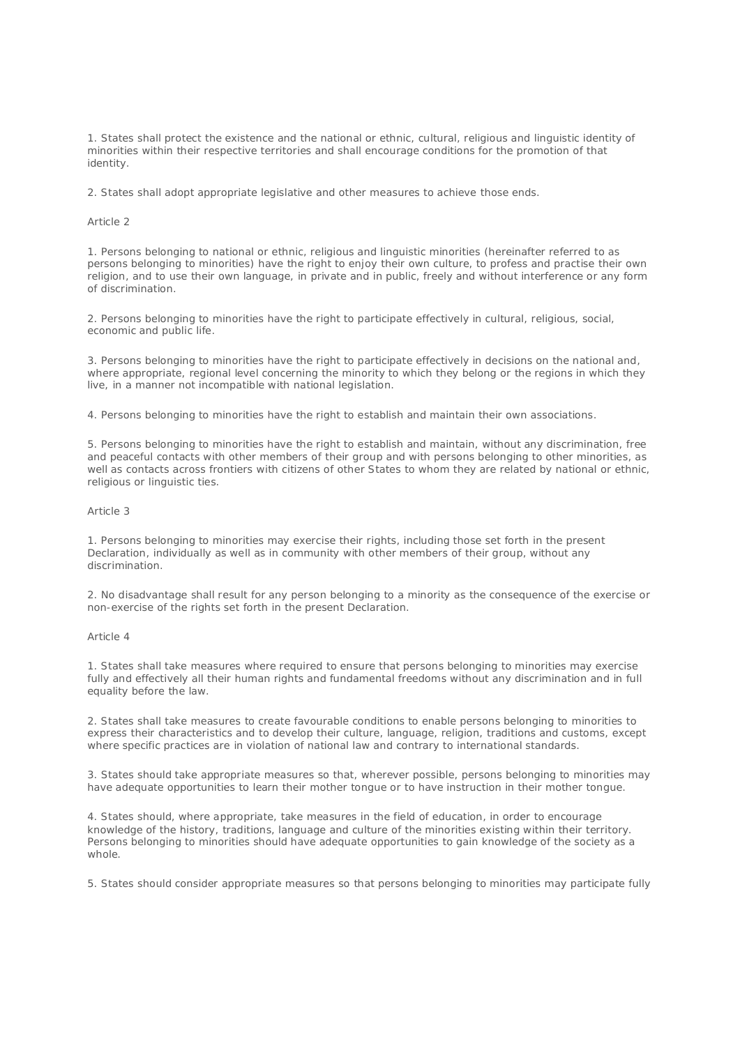1. States shall protect the existence and the national or ethnic, cultural, religious and linguistic identity of minorities within their respective territories and shall encourage conditions for the promotion of that identity.

2. States shall adopt appropriate legislative and other measures to achieve those ends.

#### Article 2

1. Persons belonging to national or ethnic, religious and linguistic minorities (hereinafter referred to as persons belonging to minorities) have the right to enjoy their own culture, to profess and practise their own religion, and to use their own language, in private and in public, freely and without interference or any form of discrimination.

2. Persons belonging to minorities have the right to participate effectively in cultural, religious, social, economic and public life.

3. Persons belonging to minorities have the right to participate effectively in decisions on the national and, where appropriate, regional level concerning the minority to which they belong or the regions in which they live, in a manner not incompatible with national legislation.

4. Persons belonging to minorities have the right to establish and maintain their own associations.

5. Persons belonging to minorities have the right to establish and maintain, without any discrimination, free and peaceful contacts with other members of their group and with persons belonging to other minorities, as well as contacts across frontiers with citizens of other States to whom they are related by national or ethnic, religious or linguistic ties.

#### Article 3

1. Persons belonging to minorities may exercise their rights, including those set forth in the present Declaration, individually as well as in community with other members of their group, without any discrimination.

2. No disadvantage shall result for any person belonging to a minority as the consequence of the exercise or non-exercise of the rights set forth in the present Declaration.

#### Article 4

1. States shall take measures where required to ensure that persons belonging to minorities may exercise fully and effectively all their human rights and fundamental freedoms without any discrimination and in full equality before the law.

2. States shall take measures to create favourable conditions to enable persons belonging to minorities to express their characteristics and to develop their culture, language, religion, traditions and customs, except where specific practices are in violation of national law and contrary to international standards.

3. States should take appropriate measures so that, wherever possible, persons belonging to minorities may have adequate opportunities to learn their mother tongue or to have instruction in their mother tongue.

4. States should, where appropriate, take measures in the field of education, in order to encourage knowledge of the history, traditions, language and culture of the minorities existing within their territory. Persons belonging to minorities should have adequate opportunities to gain knowledge of the society as a whole.

5. States should consider appropriate measures so that persons belonging to minorities may participate fully